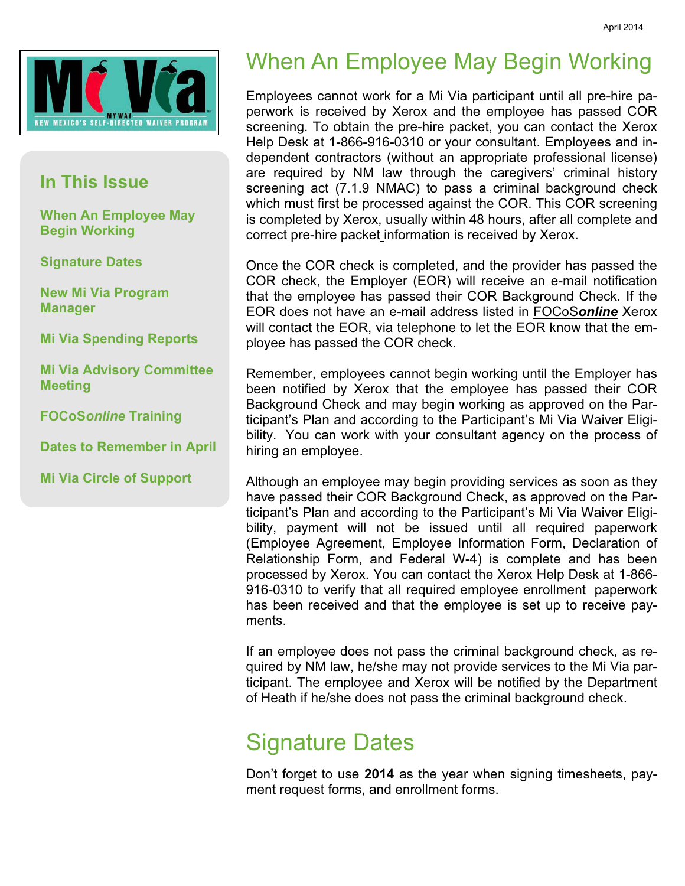

#### In This Issue

When An Employee May Begin Working

Signature Dates

New Mi Via Program Manager

Mi Via Spending Reports

Mi Via Advisory Committee Meeting

FOCoSonline Training

Dates to Remember in April

Mi Via Circle of Support

#### When An Employee May Begin Working

Employees cannot work for a Mi Via participant until all pre-hire paperwork is received by Xerox and the employee has passed COR screening. To obtain the pre-hire packet, you can contact the Xerox Help Desk at 1-866-916-0310 or your consultant. Employees and independent contractors (without an appropriate professional license) are required by NM law through the caregivers' criminal history screening act (7.1.9 NMAC) to pass a criminal background check which must first be processed against the COR. This COR screening is completed by Xerox, usually within 48 hours, after all complete and correct pre-hire packet information is received by Xerox.

Once the COR check is completed, and the provider has passed the COR check, the Employer (EOR) will receive an e-mail notification that the employee has passed their COR Background Check. If the EOR does not have an e-mail address listed in FOCoSonline Xerox will contact the EOR, via telephone to let the EOR know that the employee has passed the COR check.

Remember, employees cannot begin working until the Employer has been notified by Xerox that the employee has passed their COR Background Check and may begin working as approved on the Participant's Plan and according to the Participant's Mi Via Waiver Eligibility. You can work with your consultant agency on the process of hiring an employee.

Although an employee may begin providing services as soon as they have passed their COR Background Check, as approved on the Participant's Plan and according to the Participant's Mi Via Waiver Eligibility, payment will not be issued until all required paperwork (Employee Agreement, Employee Information Form, Declaration of Relationship Form, and Federal W-4) is complete and has been processed by Xerox. You can contact the Xerox Help Desk at 1-866- 916-0310 to verify that all required employee enrollment paperwork has been received and that the employee is set up to receive payments.

If an employee does not pass the criminal background check, as required by NM law, he/she may not provide services to the Mi Via participant. The employee and Xerox will be notified by the Department of Heath if he/she does not pass the criminal background check.

#### Signature Dates

Don't forget to use 2014 as the year when signing timesheets, payment request forms, and enrollment forms.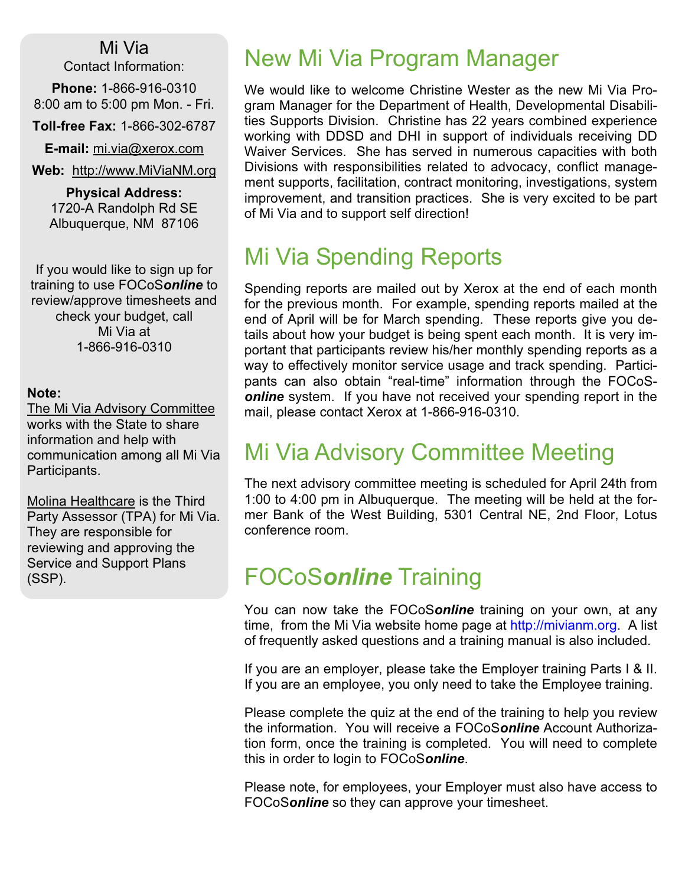Mi Via Contact Information:

Phone: 1-866-916-0310 8:00 am to 5:00 pm Mon. - Fri.

Toll-free Fax: 1-866-302-6787

E-mail: mi.via@xerox.com

Web: http://www.MiViaNM.org

Physical Address: 1720-A Randolph Rd SE Albuquerque, NM 87106

If you would like to sign up for training to use FOCoSonline to review/approve timesheets and check your budget, call Mi Via at 1-866-916-0310

#### Note:

The Mi Via Advisory Committee works with the State to share information and help with communication among all Mi Via Participants.

Molina Healthcare is the Third Party Assessor (TPA) for Mi Via. They are responsible for reviewing and approving the Service and Support Plans (SSP).

#### New Mi Via Program Manager

We would like to welcome Christine Wester as the new Mi Via Program Manager for the Department of Health, Developmental Disabilities Supports Division. Christine has 22 years combined experience working with DDSD and DHI in support of individuals receiving DD Waiver Services. She has served in numerous capacities with both Divisions with responsibilities related to advocacy, conflict management supports, facilitation, contract monitoring, investigations, system improvement, and transition practices. She is very excited to be part of Mi Via and to support self direction!

#### Mi Via Spending Reports

Spending reports are mailed out by Xerox at the end of each month for the previous month. For example, spending reports mailed at the end of April will be for March spending. These reports give you details about how your budget is being spent each month. It is very important that participants review his/her monthly spending reports as a way to effectively monitor service usage and track spending. Participants can also obtain "real-time" information through the FOCoS**online** system. If you have not received your spending report in the mail, please contact Xerox at 1-866-916-0310.

#### Mi Via Advisory Committee Meeting

The next advisory committee meeting is scheduled for April 24th from 1:00 to 4:00 pm in Albuquerque. The meeting will be held at the former Bank of the West Building, 5301 Central NE, 2nd Floor, Lotus conference room.

#### FOCoSonline Training

You can now take the FOCoSonline training on your own, at any time, from the Mi Via website home page at http://mivianm.org. A list of frequently asked questions and a training manual is also included.

If you are an employer, please take the Employer training Parts I & II. If you are an employee, you only need to take the Employee training.

Please complete the quiz at the end of the training to help you review the information. You will receive a FOCoSonline Account Authorization form, once the training is completed. You will need to complete this in order to login to FOCoSonline.

Please note, for employees, your Employer must also have access to FOCoSonline so they can approve your timesheet.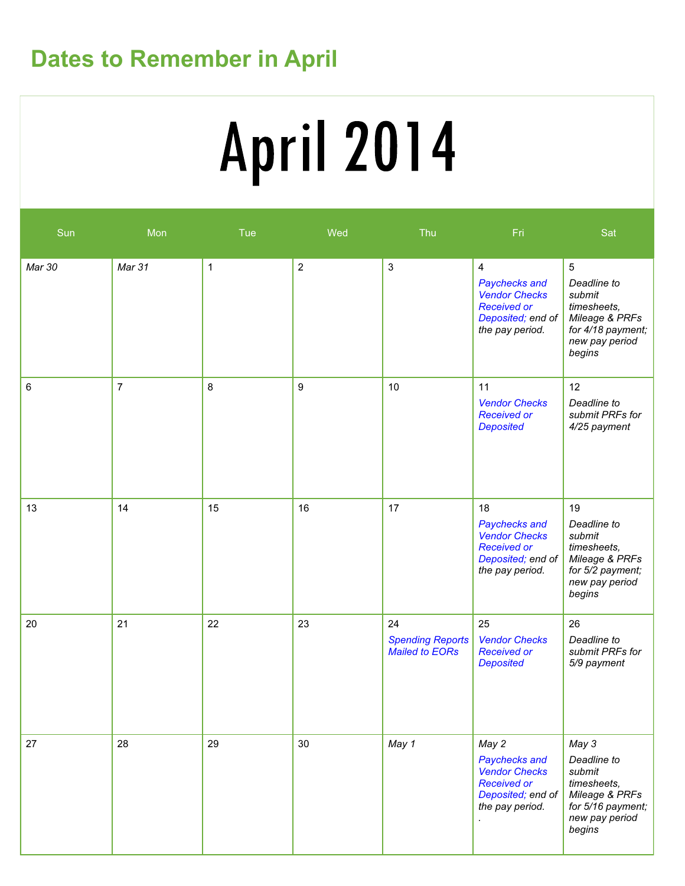### Dates to Remember in April

# **April 2014**

| Sun    | Mon            | Tue         | Wed              | Thu                                             | Fri                                                                                                                   | Sat                                                                                                                        |
|--------|----------------|-------------|------------------|-------------------------------------------------|-----------------------------------------------------------------------------------------------------------------------|----------------------------------------------------------------------------------------------------------------------------|
| Mar 30 | Mar 31         | $\mathbf 1$ | $\sqrt{2}$       | $\mathsf 3$                                     | $\overline{4}$<br>Paychecks and<br><b>Vendor Checks</b><br><b>Received or</b><br>Deposited; end of<br>the pay period. | $5\overline{)}$<br>Deadline to<br>submit<br>timesheets,<br>Mileage & PRFs<br>for 4/18 payment;<br>new pay period<br>begins |
| 6      | $\overline{7}$ | 8           | $\boldsymbol{9}$ | 10                                              | 11<br><b>Vendor Checks</b><br><b>Received or</b><br><b>Deposited</b>                                                  | 12<br>Deadline to<br>submit PRFs for<br>4/25 payment                                                                       |
| 13     | 14             | 15          | 16               | 17                                              | 18<br>Paychecks and<br><b>Vendor Checks</b><br><b>Received or</b><br>Deposited; end of<br>the pay period.             | 19<br>Deadline to<br>submit<br>timesheets,<br>Mileage & PRFs<br>for 5/2 payment;<br>new pay period<br>begins               |
| 20     | 21             | 22          | 23               | 24<br><b>Spending Reports</b><br>Mailed to EORs | 25<br><b>Vendor Checks</b><br><b>Received or</b><br><b>Deposited</b>                                                  | 26<br>Deadline to<br>submit PRFs for<br>5/9 payment                                                                        |
| 27     | 28             | 29          | 30               | May 1                                           | May 2<br>Paychecks and<br><b>Vendor Checks</b><br><b>Received or</b><br>Deposited; end of<br>the pay period.          | May 3<br>Deadline to<br>submit<br>timesheets,<br>Mileage & PRFs<br>for 5/16 payment;<br>new pay period<br>begins           |